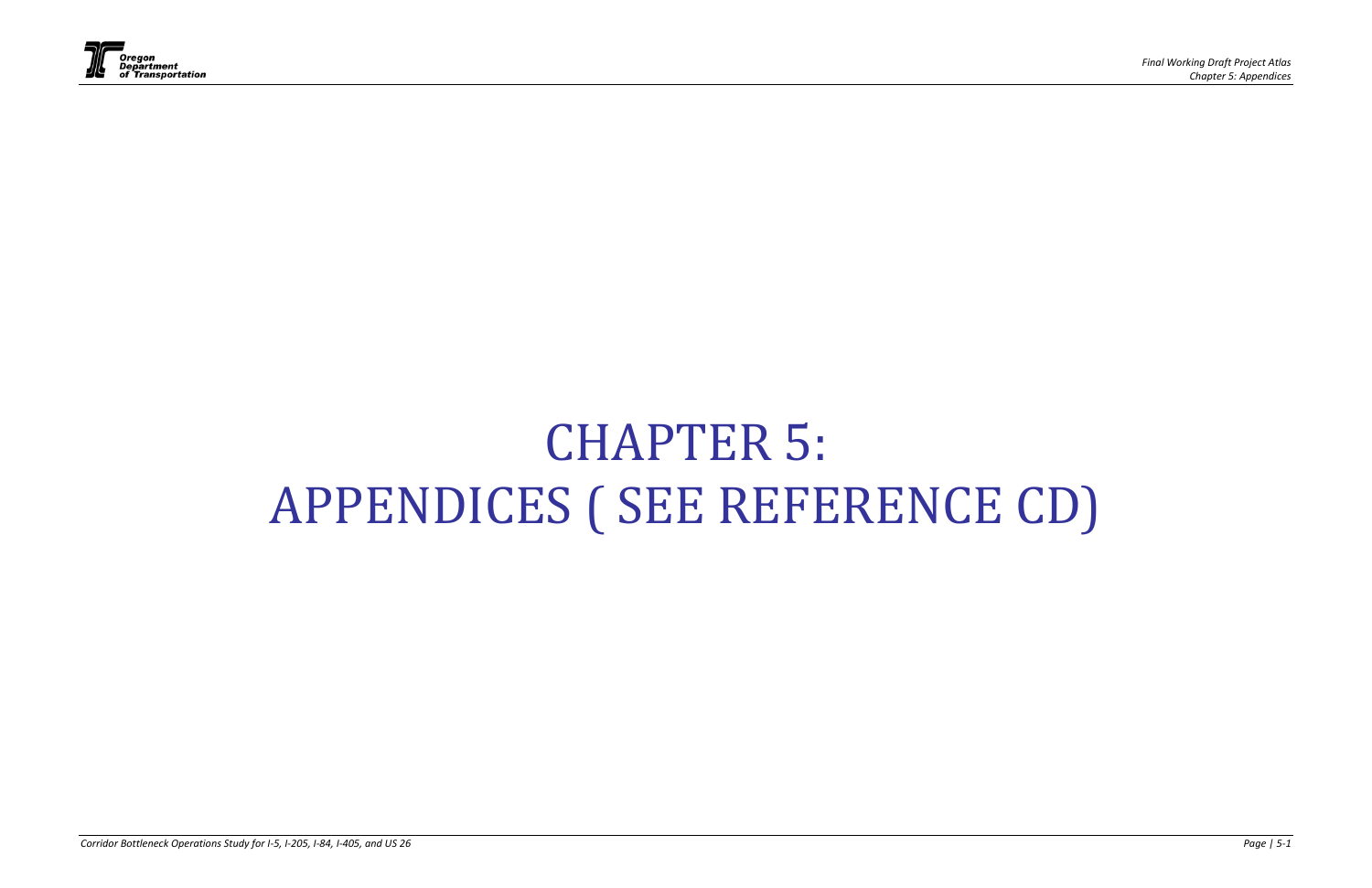

# CHAPTER 5: APPENDICES ( SEE REFERENCE CD)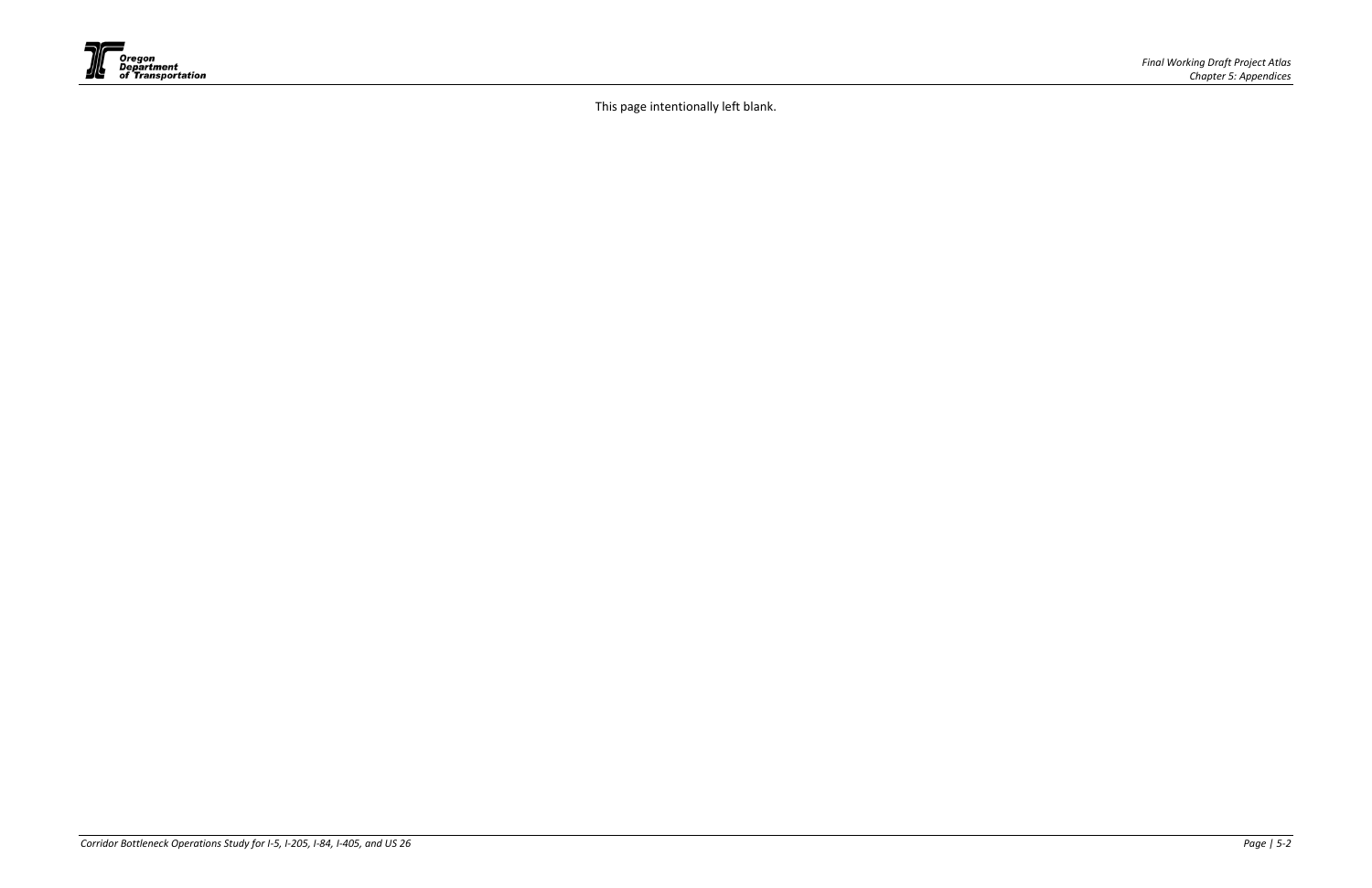

This page intentionally left blank.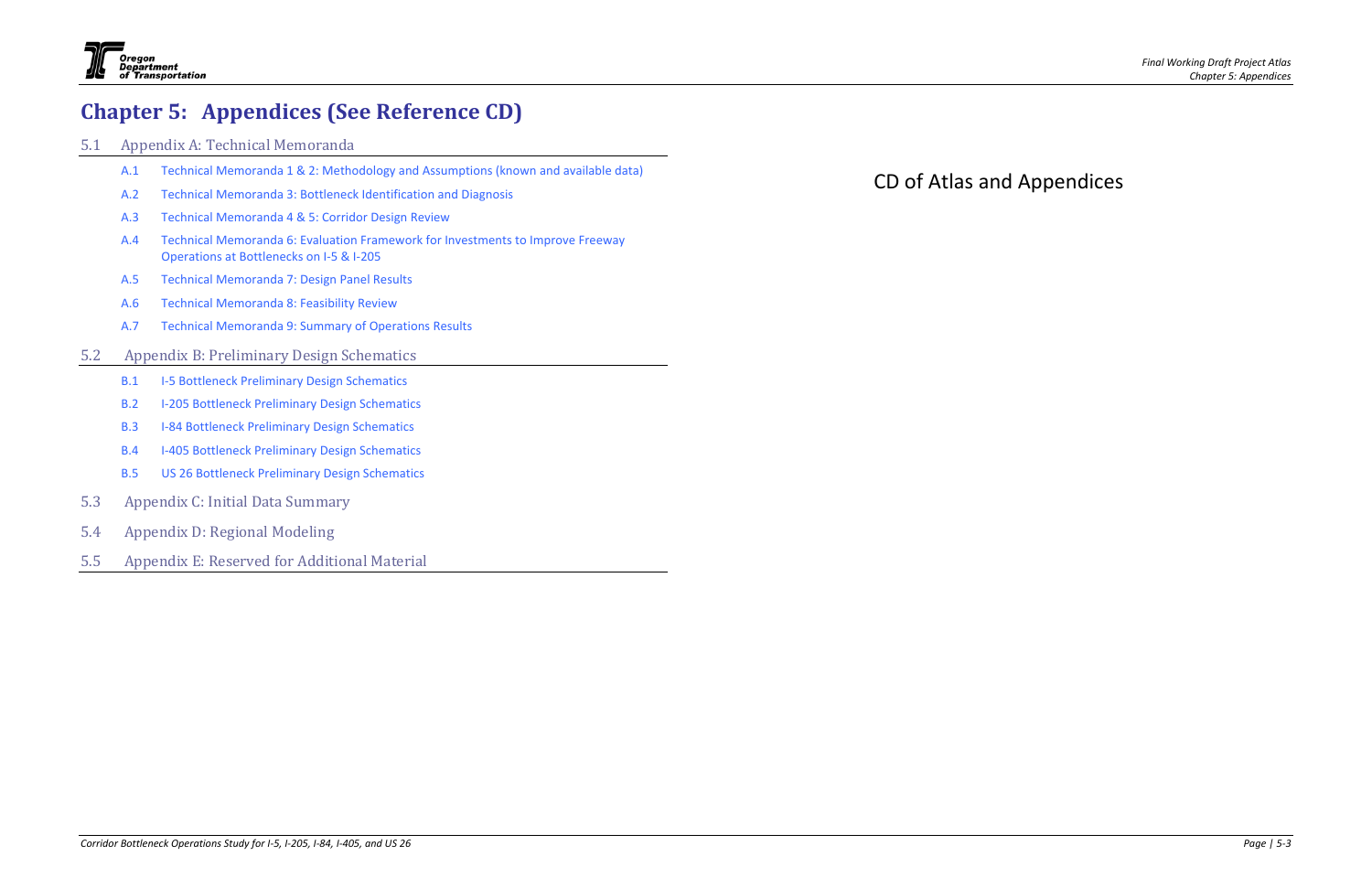- 5.1 Appendix A: Technical Memoranda
	- A.1Technical Memoranda 1 & 2: Methodology and Assumptions (known and available data)
	- A.2Technical Memoranda 3: Bottleneck Identification and Diagnosis
	- A.3Technical Memoranda 4 & 5: Corridor Design Review
	- A.4 Technical Memoranda 6: Evaluation Framework for Investments to Improve Freeway Operations at Bottlenecks on I‐5 & I‐205
	- A.5Technical Memoranda 7: Design Panel Results
	- A.6Technical Memoranda 8: Feasibility Review
	- A.77 Technical Memoranda 9: Summary of Operations Results

## *-*<br>Oregon<br>Department<br>of Transportation

### **Chapter 5: Appendices (See Reference CD)**

### 5.2Appendix B: Preliminary Design Schematics

- B.1I‐5 Bottleneck Preliminary Design Schematics
- B.2I‐205 Bottleneck Preliminary Design Schematics
- B.3I‐84 Bottleneck Preliminary Design Schematics
- B.4I‐405 Bottleneck Preliminary Design Schematics
- B.5US 26 Bottleneck Preliminary Desig n Schematics
- 5.3Appendix C: Initial Data Summary
- 5.4Appendix D: Regional Modeling
- 5.5Appendix E: Reserved for Additional Material

CD of Atlas and Appendices